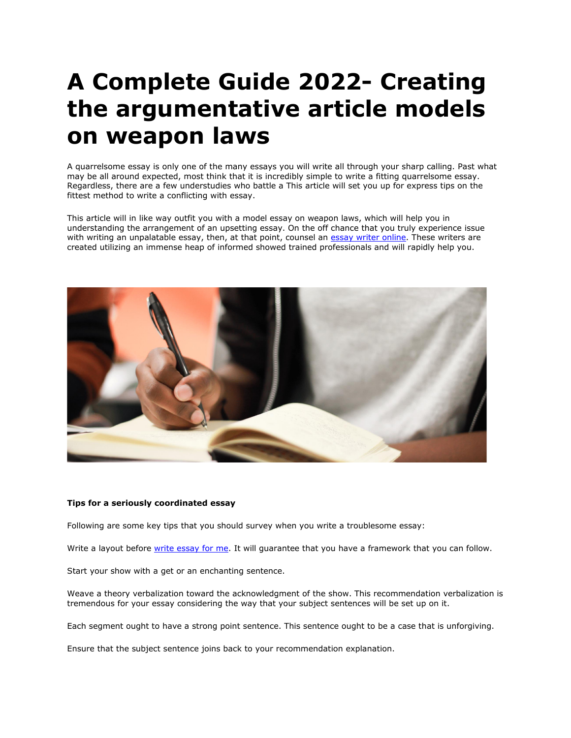# **A Complete Guide 2022- Creating the argumentative article models on weapon laws**

A quarrelsome essay is only one of the many essays you will write all through your sharp calling. Past what may be all around expected, most think that it is incredibly simple to write a fitting quarrelsome essay. Regardless, there are a few understudies who battle a This article will set you up for express tips on the fittest method to write a conflicting with essay.

This article will in like way outfit you with a model essay on weapon laws, which will help you in understanding the arrangement of an upsetting essay. On the off chance that you truly experience issue with writing an unpalatable essay, then, at that point, counsel an **essay writer online**. These writers are created utilizing an immense heap of informed showed trained professionals and will rapidly help you.



### **Tips for a seriously coordinated essay**

Following are some key tips that you should survey when you write a troublesome essay:

Write a layout before [write essay for me.](https://writemyessayfast.net/) It will quarantee that you have a framework that you can follow.

Start your show with a get or an enchanting sentence.

Weave a theory verbalization toward the acknowledgment of the show. This recommendation verbalization is tremendous for your essay considering the way that your subject sentences will be set up on it.

Each segment ought to have a strong point sentence. This sentence ought to be a case that is unforgiving.

Ensure that the subject sentence joins back to your recommendation explanation.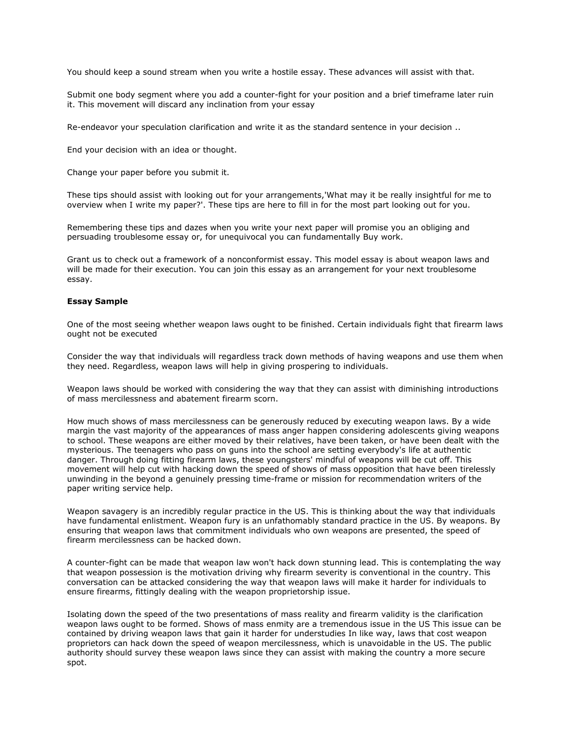You should keep a sound stream when you write a hostile essay. These advances will assist with that.

Submit one body segment where you add a counter-fight for your position and a brief timeframe later ruin it. This movement will discard any inclination from your essay

Re-endeavor your speculation clarification and write it as the standard sentence in your decision ..

End your decision with an idea or thought.

Change your paper before you submit it.

These tips should assist with looking out for your arrangements,'What may it be really insightful for me to overview when I write my paper?'. These tips are here to fill in for the most part looking out for you.

Remembering these tips and dazes when you write your next paper will promise you an obliging and persuading troublesome essay or, for unequivocal you can fundamentally Buy work.

Grant us to check out a framework of a nonconformist essay. This model essay is about weapon laws and will be made for their execution. You can join this essay as an arrangement for your next troublesome essay.

#### **Essay Sample**

One of the most seeing whether weapon laws ought to be finished. Certain individuals fight that firearm laws ought not be executed

Consider the way that individuals will regardless track down methods of having weapons and use them when they need. Regardless, weapon laws will help in giving prospering to individuals.

Weapon laws should be worked with considering the way that they can assist with diminishing introductions of mass mercilessness and abatement firearm scorn.

How much shows of mass mercilessness can be generously reduced by executing weapon laws. By a wide margin the vast majority of the appearances of mass anger happen considering adolescents giving weapons to school. These weapons are either moved by their relatives, have been taken, or have been dealt with the mysterious. The teenagers who pass on guns into the school are setting everybody's life at authentic danger. Through doing fitting firearm laws, these youngsters' mindful of weapons will be cut off. This movement will help cut with hacking down the speed of shows of mass opposition that have been tirelessly unwinding in the beyond a genuinely pressing time-frame or mission for recommendation writers of the paper writing service help.

Weapon savagery is an incredibly regular practice in the US. This is thinking about the way that individuals have fundamental enlistment. Weapon fury is an unfathomably standard practice in the US. By weapons. By ensuring that weapon laws that commitment individuals who own weapons are presented, the speed of firearm mercilessness can be hacked down.

A counter-fight can be made that weapon law won't hack down stunning lead. This is contemplating the way that weapon possession is the motivation driving why firearm severity is conventional in the country. This conversation can be attacked considering the way that weapon laws will make it harder for individuals to ensure firearms, fittingly dealing with the weapon proprietorship issue.

Isolating down the speed of the two presentations of mass reality and firearm validity is the clarification weapon laws ought to be formed. Shows of mass enmity are a tremendous issue in the US This issue can be contained by driving weapon laws that gain it harder for understudies In like way, laws that cost weapon proprietors can hack down the speed of weapon mercilessness, which is unavoidable in the US. The public authority should survey these weapon laws since they can assist with making the country a more secure spot.